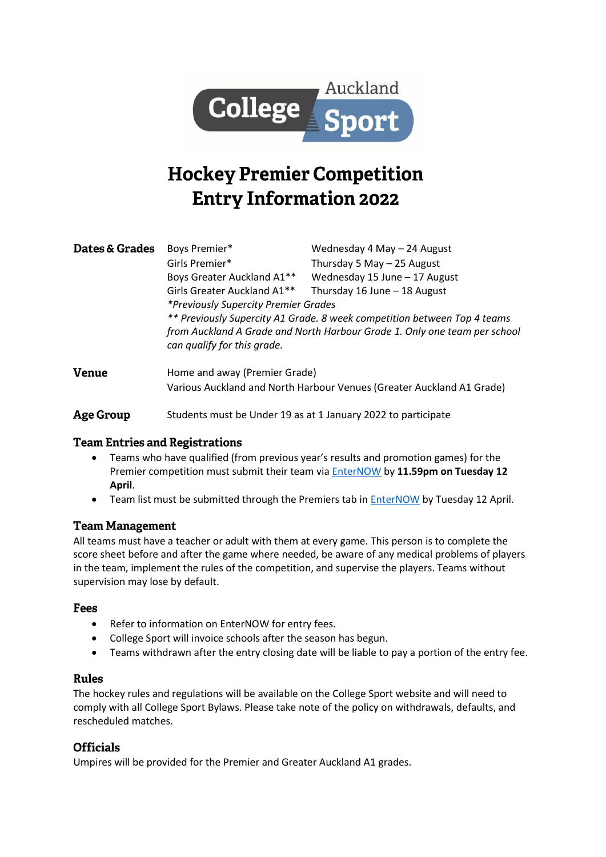

# **Hockey Premier Competition Entry Information 2022**

| <b>Dates &amp; Grades</b> | Boys Premier*                                                                                            | Wednesday 4 May - 24 August   |
|---------------------------|----------------------------------------------------------------------------------------------------------|-------------------------------|
|                           | Girls Premier*                                                                                           | Thursday 5 May $-$ 25 August  |
|                           | Boys Greater Auckland A1**                                                                               | Wednesday 15 June - 17 August |
|                           | Girls Greater Auckland A1**                                                                              | Thursday 16 June - 18 August  |
|                           | *Previously Supercity Premier Grades                                                                     |                               |
|                           | ** Previously Supercity A1 Grade. 8 week competition between Top 4 teams                                 |                               |
|                           | from Auckland A Grade and North Harbour Grade 1. Only one team per school<br>can qualify for this grade. |                               |
|                           |                                                                                                          |                               |

- **Venue** Home and away (Premier Grade) Various Auckland and North Harbour Venues (Greater Auckland A1 Grade)
- **Age Group** Students must be Under 19 as at 1 January 2022 to participate

# **Team Entries and Registrations**

- Teams who have qualified (from previous year's results and promotion games) for the Premier competition must submit their team via [EnterNOW](https://www.enternow.co.nz/enternow-app/collegesportauckland/) by **11.59pm on Tuesday 12 April**.
- Team list must be submitted through the Premiers tab in [EnterNOW](https://www.enternow.co.nz/enternow-app/collegesportauckland/) by Tuesday 12 April.

# **Team Management**

All teams must have a teacher or adult with them at every game. This person is to complete the score sheet before and after the game where needed, be aware of any medical problems of players in the team, implement the rules of the competition, and supervise the players. Teams without supervision may lose by default.

#### **Fees**

- Refer to information on EnterNOW for entry fees.
- College Sport will invoice schools after the season has begun.
- Teams withdrawn after the entry closing date will be liable to pay a portion of the entry fee.

# **Rules**

The hockey rules and regulations will be available on the College Sport website and will need to comply with all College Sport Bylaws. Please take note of the policy on withdrawals, defaults, and rescheduled matches.

# **Officials**

Umpires will be provided for the Premier and Greater Auckland A1 grades.